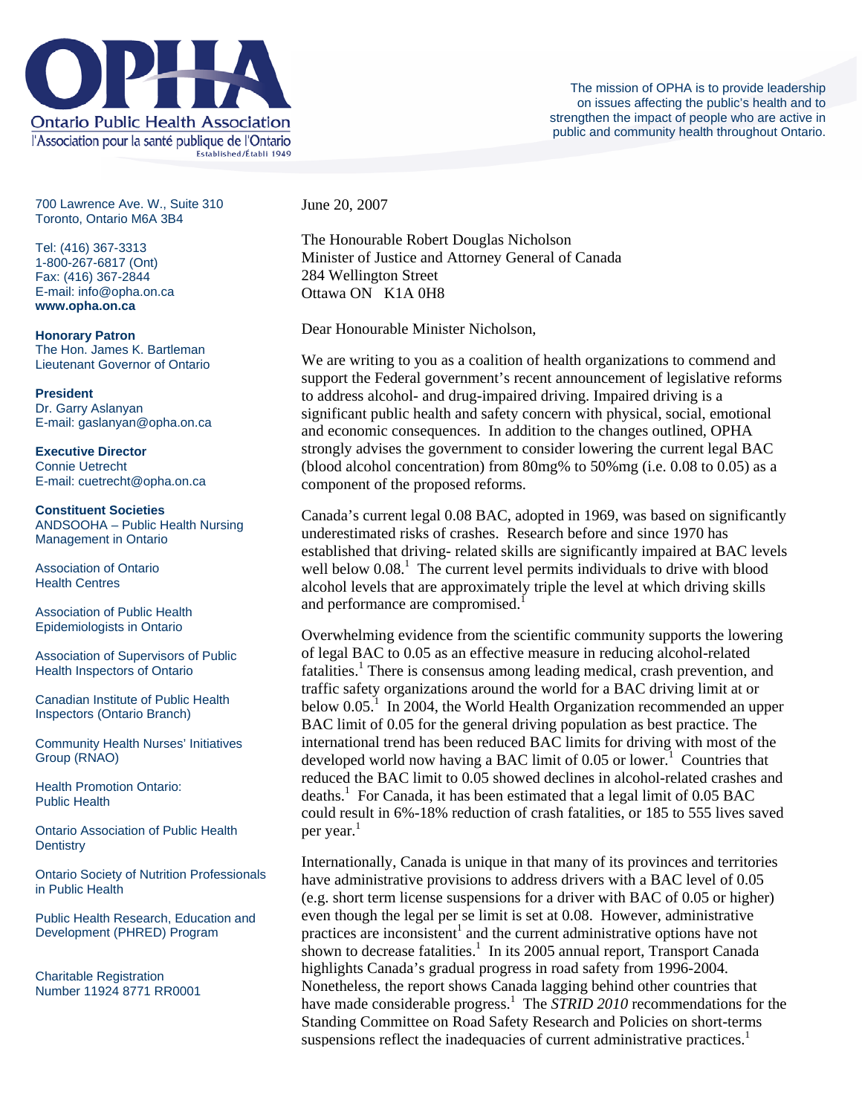

700 Lawrence Ave. W., Suite 310 Toronto, Ontario M6A 3B4

Tel: (416) 367-3313 1-800-267-6817 (Ont) Fax: (416) 367-2844 E-mail: info@opha.on.ca **www.opha.on.ca** 

**Honorary Patron**  The Hon. James K. Bartleman Lieutenant Governor of Ontario

**President**  Dr. Garry Aslanyan E-mail: gaslanyan@opha.on.ca

**Executive Director**  Connie Uetrecht E-mail: cuetrecht@opha.on.ca

**Constituent Societies**  ANDSOOHA – Public Health Nursing Management in Ontario

Association of Ontario Health Centres

Association of Public Health Epidemiologists in Ontario

Association of Supervisors of Public Health Inspectors of Ontario

Canadian Institute of Public Health Inspectors (Ontario Branch)

Community Health Nurses' Initiatives Group (RNAO)

Health Promotion Ontario: Public Health

Ontario Association of Public Health **Dentistry** 

Ontario Society of Nutrition Professionals in Public Health

Public Health Research, Education and Development (PHRED) Program

Charitable Registration Number 11924 8771 RR0001 June 20, 2007

The Honourable Robert Douglas Nicholson Minister of Justice and Attorney General of Canada 284 Wellington Street Ottawa ON K1A 0H8

Dear Honourable Minister Nicholson,

We are writing to you as a coalition of health organizations to commend and support the Federal government's recent announcement of legislative reforms to address alcohol- and drug-impaired driving. Impaired driving is a significant public health and safety concern with physical, social, emotional and economic consequences. In addition to the changes outlined, OPHA strongly advises the government to consider lowering the current legal BAC (blood alcohol concentration) from  $80mg$ % to  $50%$  mg (i.e. 0.08 to 0.05) as a component of the proposed reforms.

Canada's current legal 0.08 BAC, adopted in 1969, was based on significantly underestimated risks of crashes. Research before and since 1970 has established that driving- related skills are significantly impaired at BAC levels well below  $0.08<sup>1</sup>$ . The current level permits individuals to drive with blood alcohol levels that are approximately triple the level at which driving skills and performance are compromised.<sup>1</sup>

Overwhelming evidence from the scientific community supports the lowering of legal BAC to 0.05 as an effective measure in reducing alcohol-related fatalities.<sup>1</sup> There is consensus among leading medical, crash prevention, and traffic safety organizations around the world for a BAC driving limit at or below  $0.05<sup>1</sup>$  In 2004, the World Health Organization recommended an upper BAC limit of 0.05 for the general driving population as best practice. The international trend has been reduced BAC limits for driving with most of the developed world now having a BAC limit of  $0.05$  or lower.<sup>1</sup> Countries that reduced the BAC limit to 0.05 showed declines in alcohol-related crashes and deaths.<sup>1</sup> For Canada, it has been estimated that a legal limit of  $0.05$  BAC could result in 6%-18% reduction of crash fatalities, or 185 to 555 lives saved per year.<sup>1</sup>

Internationally, Canada is unique in that many of its provinces and territories have administrative provisions to address drivers with a BAC level of 0.05 (e.g. short term license suspensions for a driver with BAC of 0.05 or higher) even though the legal per se limit is set at 0.08. However, administrative practices are inconsistent<sup>1</sup> and the current administrative options have not shown to decrease fatalities.<sup>1</sup> In its 2005 annual report, Transport Canada highlights Canada's gradual progress in road safety from 1996-2004. Nonetheless, the report shows Canada lagging behind other countries that have made considerable progress.<sup>1</sup> The *STRID 2010* recommendations for the Standing Committee on Road Safety Research and Policies on short-terms suspensions reflect the inadequacies of current administrative practices.<sup>1</sup>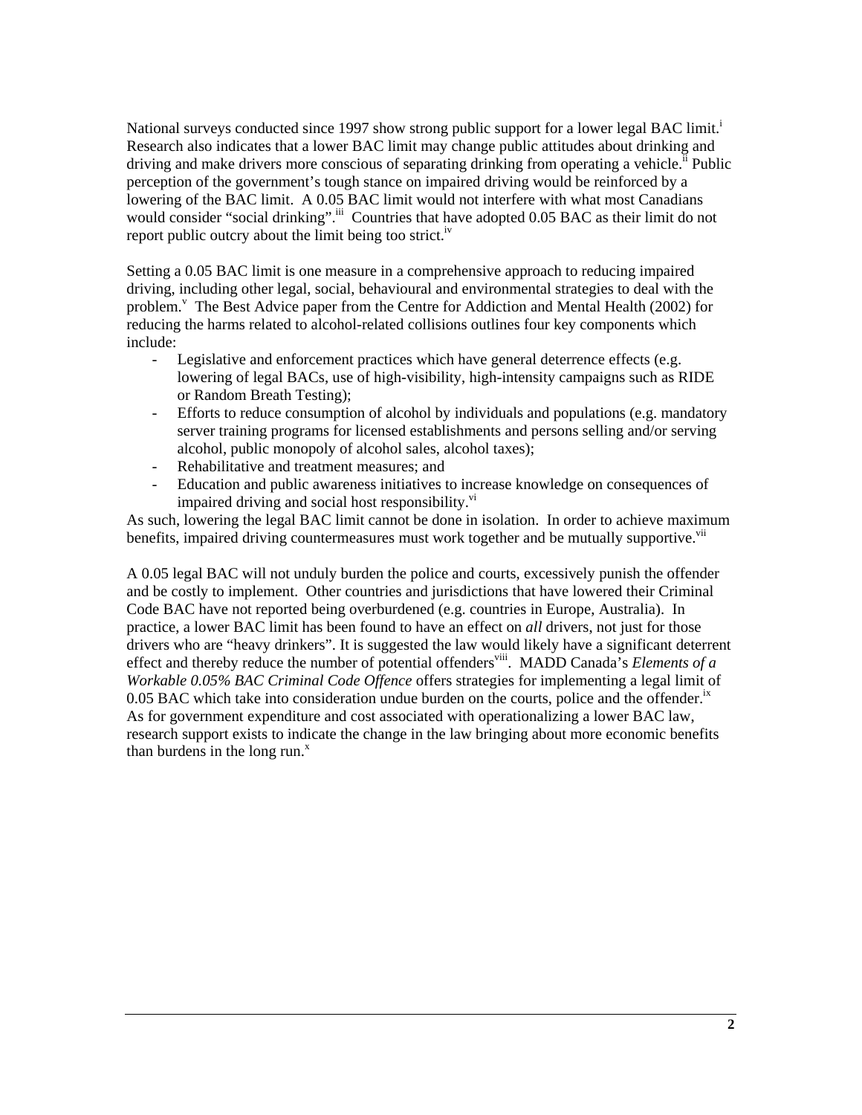National surveys conducted since 1997 show strong public support for a lower legal BAC limit.<sup>i</sup> Research also indicates that a lower BAC limit may change public attitudes about drinking and driving and make drivers more conscious of separating drinking from operating a vehicle.<sup> $\ddot{h}$ </sup> Public perception of the government's tough stance on impaired driving would be reinforced by a lowering of the BAC limit. A 0.05 BAC limit would not interfere with what most Canadians would consider "social drinking".<sup>iii</sup> Countries that have adopted 0.05 BAC as their limit do not report public outcry about the limit being too strict.<sup>iv</sup>

Setting a 0.05 BAC limit is one measure in a comprehensive approach to reducing impaired driving, including other legal, social, behavioural and environmental strategies to deal with the problem.<sup>v</sup> The Best Advice paper from the Centre for Addiction and Mental Health (2002) for reducing the harms related to alcohol-related collisions outlines four key components which include:

- Legislative and enforcement practices which have general deterrence effects (e.g. lowering of legal BACs, use of high-visibility, high-intensity campaigns such as RIDE or Random Breath Testing);
- Efforts to reduce consumption of alcohol by individuals and populations (e.g. mandatory server training programs for licensed establishments and persons selling and/or serving alcohol, public monopoly of alcohol sales, alcohol taxes);
- Rehabilitative and treatment measures; and
- Education and public awareness initiatives to increase knowledge on consequences of impaired driving and social host responsibility.<sup>vi</sup>

As such, lowering the legal BAC limit cannot be done in isolation. In order to achieve maximum benefits, impaired driving countermeasures must work together and be mutually supportive.<sup>vii</sup>

A 0.05 legal BAC will not unduly burden the police and courts, excessively punish the offender and be costly to implement. Other countries and jurisdictions that have lowered their Criminal Code BAC have not reported being overburdened (e.g. countries in Europe, Australia). In practice, a lower BAC limit has been found to have an effect on *all* drivers, not just for those drivers who are "heavy drinkers". It is suggested the law would likely have a significant deterrent effect and thereby reduce the number of potential offenders<sup>viii</sup>. MADD Canada's *Elements of a Workable 0.05% BAC Criminal Code Offence* offers strategies for implementing a legal limit of 0.05 BAC which take into consideration undue burden on the courts, police and the offender.<sup>ix</sup> As for government expenditure and cost associated with operationalizing a lower BAC law, research support exists to indicate the change in the law bringing about more economic benefits than burdens in the long run. $^x$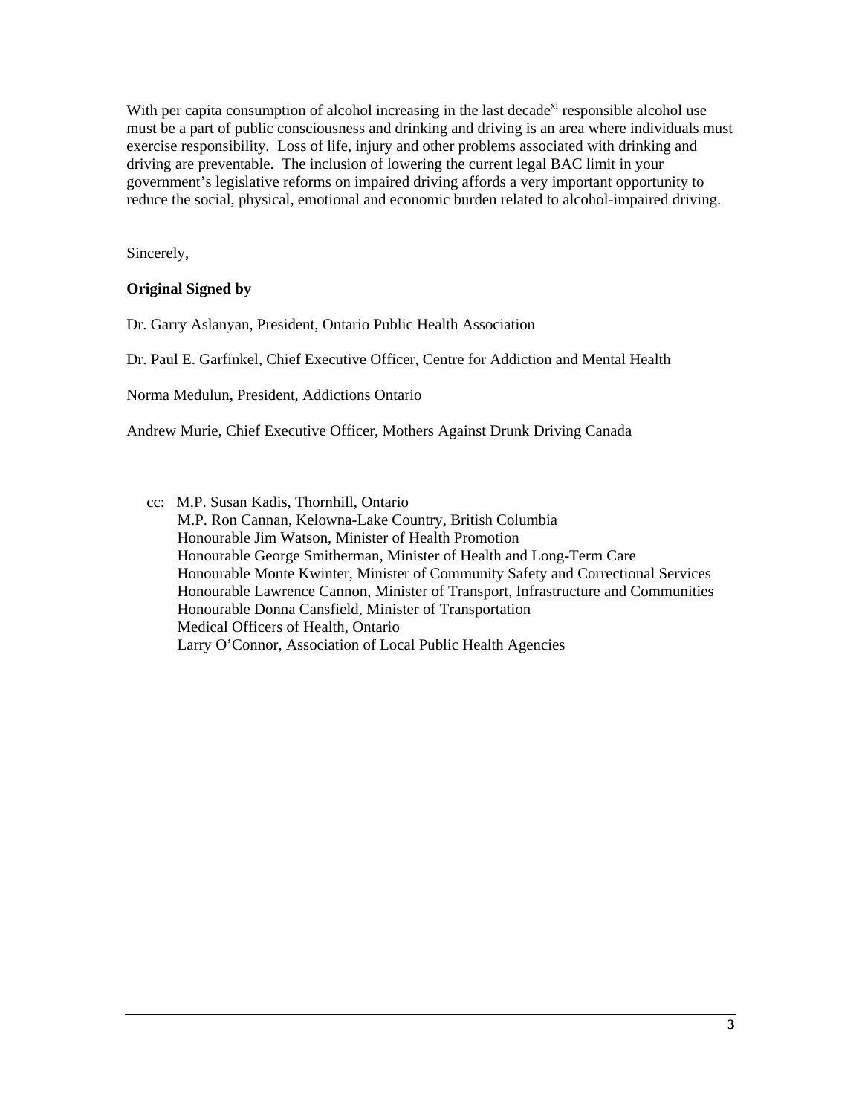With per capita consumption of alcohol increasing in the last decade<sup>xi</sup> responsible alcohol use must be a part of public consciousness and drinking and driving is an area where individuals must exercise responsibility. Loss of life, injury and other problems associated with drinking and driving are preventable. The inclusion of lowering the current legal BAC limit in your government's legislative reforms on impaired driving affords a very important opportunity to reduce the social, physical, emotional and economic burden related to alcohol-impaired driving.

Sincerely,

## **Original Signed by**

Dr. Garry Aslanyan, President, Ontario Public Health Association

Dr. Paul E. Garfinkel, Chief Executive Officer, Centre for Addiction and Mental Health

Norma Medulun, President, Addictions Ontario

Andrew Murie, Chief Executive Officer, Mothers Against Drunk Driving Canada

cc: M.P. Susan Kadis, Thornhill, Ontario M.P. Ron Cannan, Kelowna-Lake Country, British Columbia Honourable Jim Watson, Minister of Health Promotion Honourable George Smitherman, Minister of Health and Long-Term Care Honourable Monte Kwinter, Minister of Community Safety and Correctional Services Honourable Lawrence Cannon, Minister of Transport, Infrastructure and Communities Honourable Donna Cansfield, Minister of Transportation Medical Officers of Health, Ontario Larry O'Connor, Association of Local Public Health Agencies